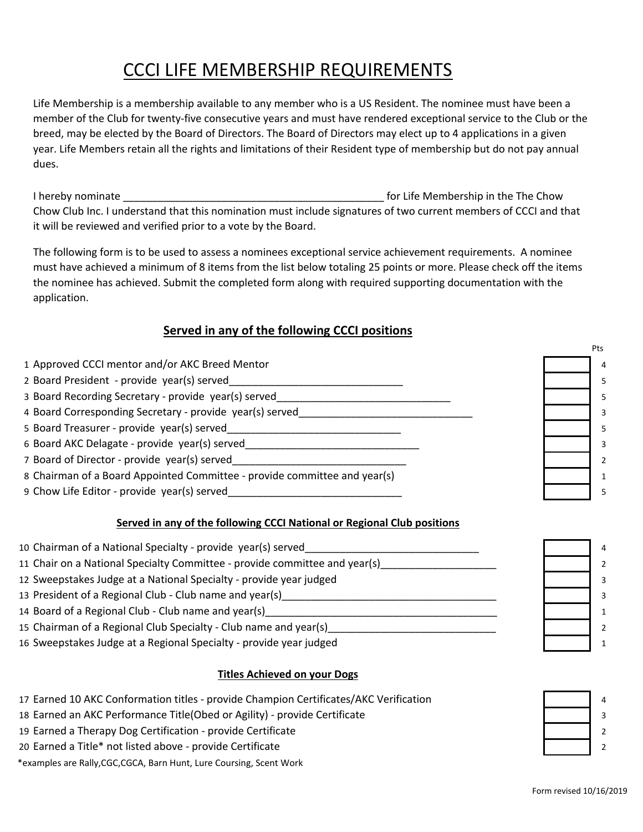# CCCI LIFE MEMBERSHIP REQUIREMENTS

Life Membership is a membership available to any member who is a US Resident. The nominee must have been a member of the Club for twenty-five consecutive years and must have rendered exceptional service to the Club or the breed, may be elected by the Board of Directors. The Board of Directors may elect up to 4 applications in a given year. Life Members retain all the rights and limitations of their Resident type of membership but do not pay annual dues.

I hereby nominate \_\_\_\_\_\_\_\_\_\_\_\_\_\_\_\_\_\_\_\_\_\_\_\_\_\_\_\_\_\_\_\_\_\_\_\_\_\_\_\_\_\_\_\_\_ for Life Membership in the The Chow Chow Club Inc. I understand that this nomination must include signatures of two current members of CCCI and that it will be reviewed and verified prior to a vote by the Board.

The following form is to be used to assess a nominees exceptional service achievement requirements. A nominee must have achieved a minimum of 8 items from the list below totaling 25 points or more. Please check off the items the nominee has achieved. Submit the completed form along with required supporting documentation with the application.

## **Served in any of the following CCCI positions**

Pts 1 Approved CCCI mentor and/or AKC Breed Mentor 4 2 Board President - provide year(s) served example and the served of the served of the served of the served served 3 Board Recording Secretary - provide year(s) served\_\_\_\_\_\_\_\_\_\_\_\_\_\_\_\_\_\_\_\_\_\_\_\_\_\_\_\_\_\_ 5 4 Board Corresponding Secretary - provide year(s) served example the served and server of the served and served 5 Board Treasurer - provide year(s) served\_\_\_\_\_\_\_\_\_\_\_\_\_\_\_\_\_\_\_\_\_\_\_\_\_\_\_\_\_\_ 5 6 Board AKC Delagate - provide year(s) served and the server of the served and the served and the served and the served 7 Board of Director - provide year(s) served and the server of the server of the server of the server of the server of the server of the server of the server of the server of the server of the server of the server of the s 8 Chairman of a Board Appointed Committee - provide committee and year(s) 1 9 Chow Life Editor - provide year(s) served and the served served and the served served by the served served served

# **Served in any of the following CCCI National or Regional Club positions**

| 10 Chairman of a National Specialty - provide year(s) served               | $\overline{4}$ |
|----------------------------------------------------------------------------|----------------|
| 11 Chair on a National Specialty Committee - provide committee and year(s) | $\mathcal{P}$  |
| 12 Sweepstakes Judge at a National Specialty - provide year judged         |                |
| 13 President of a Regional Club - Club name and year(s)                    |                |
| 14 Board of a Regional Club - Club name and year(s)                        |                |
| 15 Chairman of a Regional Club Specialty - Club name and year(s)           | $\mathcal{D}$  |
| 16 Sweepstakes Judge at a Regional Specialty - provide year judged         |                |

#### **Titles Achieved on your Dogs**

- 17 Earned 10 AKC Conformation titles provide Champion Certificates/AKC Verification **19 August 20 August 20** 4
- 18 Earned an AKC Performance Title(Obed or Agility) provide Certificate **3** Alternative Matter and Table 3 3 3 3 3 3 3 3 3 3 3 3 4 3 3 4 3 3 4 3 3 4 3 3 4 3 4 3 3 4 3 4 3 3 4 3 4 3 4 3 4 3 4 3 4 3 4 4 3 4 4 3 4 4 3 4 4 5
- 19 Earned a Therapy Dog Certification provide Certificate 2
- 20 Earned a Title\* not listed above provide Certificate 2

\*examples are Rally,CGC,CGCA, Barn Hunt, Lure Coursing, Scent Work